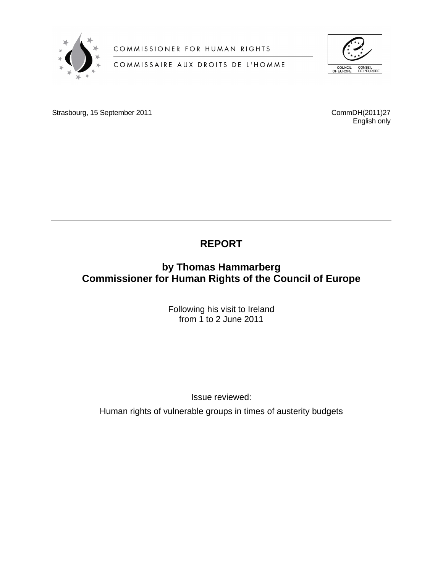

COMMISSIONER FOR HUMAN RIGHTS

# COMMISSAIRE AUX DROITS DE L'HOMME



Strasbourg, 15 September 2011 CommDH(2011)27

English only

# **REPORT**

# **by Thomas Hammarberg Commissioner for Human Rights of the Council of Europe**

Following his visit to Ireland from 1 to 2 June 2011

Issue reviewed:

Human rights of vulnerable groups in times of austerity budgets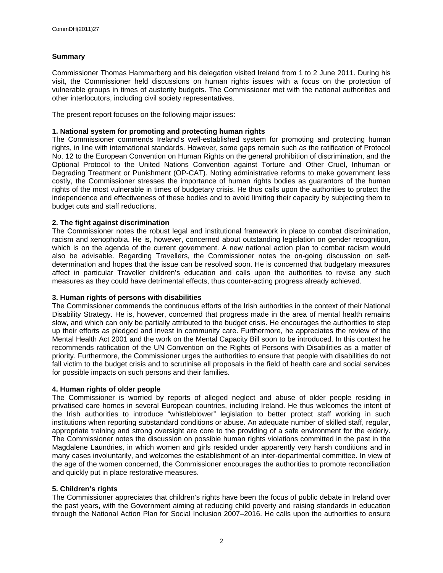#### **Summary**

Commissioner Thomas Hammarberg and his delegation visited Ireland from 1 to 2 June 2011. During his visit, the Commissioner held discussions on human rights issues with a focus on the protection of vulnerable groups in times of austerity budgets. The Commissioner met with the national authorities and other interlocutors, including civil society representatives.

The present report focuses on the following major issues:

#### **1. National system for promoting and protecting human rights**

The Commissioner commends Ireland's well-established system for promoting and protecting human rights, in line with international standards. However, some gaps remain such as the ratification of Protocol No. 12 to the European Convention on Human Rights on the general prohibition of discrimination, and the Optional Protocol to the United Nations Convention against Torture and Other Cruel, Inhuman or Degrading Treatment or Punishment (OP-CAT). Noting administrative reforms to make government less costly, the Commissioner stresses the importance of human rights bodies as guarantors of the human rights of the most vulnerable in times of budgetary crisis. He thus calls upon the authorities to protect the independence and effectiveness of these bodies and to avoid limiting their capacity by subjecting them to budget cuts and staff reductions.

### **2. The fight against discrimination**

The Commissioner notes the robust legal and institutional framework in place to combat discrimination, racism and xenophobia. He is, however, concerned about outstanding legislation on gender recognition, which is on the agenda of the current government. A new national action plan to combat racism would also be advisable. Regarding Travellers, the Commissioner notes the on-going discussion on selfdetermination and hopes that the issue can be resolved soon. He is concerned that budgetary measures affect in particular Traveller children's education and calls upon the authorities to revise any such measures as they could have detrimental effects, thus counter-acting progress already achieved.

#### **3. Human rights of persons with disabilities**

The Commissioner commends the continuous efforts of the Irish authorities in the context of their National Disability Strategy. He is, however, concerned that progress made in the area of mental health remains slow, and which can only be partially attributed to the budget crisis. He encourages the authorities to step up their efforts as pledged and invest in community care. Furthermore, he appreciates the review of the Mental Health Act 2001 and the work on the Mental Capacity Bill soon to be introduced. In this context he recommends ratification of the UN Convention on the Rights of Persons with Disabilities as a matter of priority. Furthermore, the Commissioner urges the authorities to ensure that people with disabilities do not fall victim to the budget crisis and to scrutinise all proposals in the field of health care and social services for possible impacts on such persons and their families.

#### **4. Human rights of older people**

The Commissioner is worried by reports of alleged neglect and abuse of older people residing in privatised care homes in several European countries, including Ireland. He thus welcomes the intent of the Irish authorities to introduce "whistleblower" legislation to better protect staff working in such institutions when reporting substandard conditions or abuse. An adequate number of skilled staff, regular, appropriate training and strong oversight are core to the providing of a safe environment for the elderly. The Commissioner notes the discussion on possible human rights violations committed in the past in the Magdalene Laundries, in which women and girls resided under apparently very harsh conditions and in many cases involuntarily, and welcomes the establishment of an inter-departmental committee. In view of the age of the women concerned, the Commissioner encourages the authorities to promote reconciliation and quickly put in place restorative measures.

### **5. Children's rights**

The Commissioner appreciates that children's rights have been the focus of public debate in Ireland over the past years, with the Government aiming at reducing child poverty and raising standards in education through the National Action Plan for Social Inclusion 2007–2016. He calls upon the authorities to ensure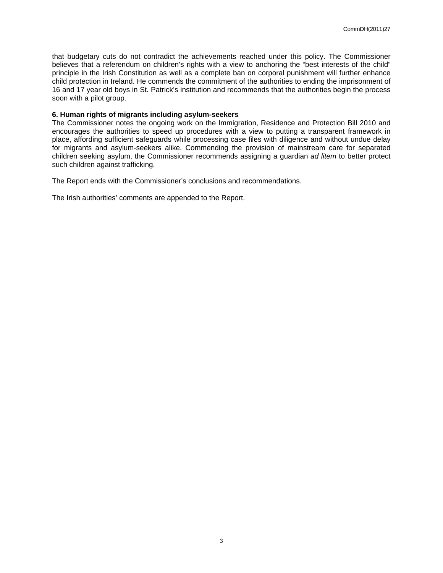that budgetary cuts do not contradict the achievements reached under this policy. The Commissioner believes that a referendum on children's rights with a view to anchoring the "best interests of the child" principle in the Irish Constitution as well as a complete ban on corporal punishment will further enhance child protection in Ireland. He commends the commitment of the authorities to ending the imprisonment of 16 and 17 year old boys in St. Patrick's institution and recommends that the authorities begin the process soon with a pilot group.

#### **6. Human rights of migrants including asylum-seekers**

The Commissioner notes the ongoing work on the Immigration, Residence and Protection Bill 2010 and encourages the authorities to speed up procedures with a view to putting a transparent framework in place, affording sufficient safeguards while processing case files with diligence and without undue delay for migrants and asylum-seekers alike. Commending the provision of mainstream care for separated children seeking asylum, the Commissioner recommends assigning a guardian *ad litem* to better protect such children against trafficking.

The Report ends with the Commissioner's conclusions and recommendations.

The Irish authorities' comments are appended to the Report.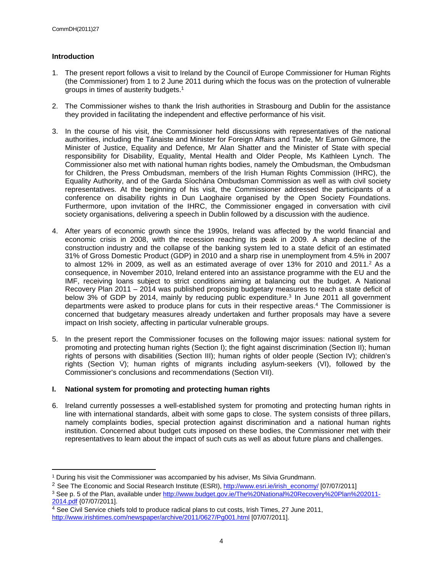### **Introduction**

- 1. The present report follows a visit to Ireland by the Council of Europe Commissioner for Human Rights (the Commissioner) from 1 to 2 June 2011 during which the focus was on the protection of vulnerable groups in times of austerity budgets.<sup>1</sup>
- 2. The Commissioner wishes to thank the Irish authorities in Strasbourg and Dublin for the assistance they provided in facilitating the independent and effective performance of his visit.
- 3. In the course of his visit, the Commissioner held discussions with representatives of the national authorities, including the Tánaiste and Minister for Foreign Affairs and Trade, Mr Eamon Gilmore, the Minister of Justice, Equality and Defence, Mr Alan Shatter and the Minister of State with special responsibility for Disability, Equality, Mental Health and Older People, Ms Kathleen Lynch. The Commissioner also met with national human rights bodies, namely the Ombudsman, the Ombudsman for Children, the Press Ombudsman, members of the Irish Human Rights Commission (IHRC), the Equality Authority, and of the Garda Síochána Ombudsman Commission as well as with civil society representatives. At the beginning of his visit, the Commissioner addressed the participants of a conference on disability rights in Dun Laoghaire organised by the Open Society Foundations. Furthermore, upon invitation of the IHRC, the Commissioner engaged in conversation with civil society organisations, delivering a speech in Dublin followed by a discussion with the audience.
- 4. After years of economic growth since the 1990s, Ireland was affected by the world financial and economic crisis in 2008, with the recession reaching its peak in 2009. A sharp decline of the construction industry and the collapse of the banking system led to a state deficit of an estimated 31% of Gross Domestic Product (GDP) in 2010 and a sharp rise in unemployment from 4.5% in 2007 to almost 12% in 2009, as well as an estimated average of over 13% for 2010 and 2011.<sup>2</sup> As a consequence, in November 2010, Ireland entered into an assistance programme with the EU and the IMF, receiving loans subject to strict conditions aiming at balancing out the budget. A National Recovery Plan 2011 – 2014 was published proposing budgetary measures to reach a state deficit of below 3% of GDP by 2014, mainly by reducing public expenditure.<sup>3</sup> In June 2011 all government departments were asked to produce plans for cuts in their respective areas.<sup>4</sup> The Commissioner is concerned that budgetary measures already undertaken and further proposals may have a severe impact on Irish society, affecting in particular vulnerable groups.
- 5. In the present report the Commissioner focuses on the following major issues: national system for promoting and protecting human rights (Section I); the fight against discrimination (Section II); human rights of persons with disabilities (Section III); human rights of older people (Section IV); children's rights (Section V); human rights of migrants including asylum-seekers (VI), followed by the Commissioner's conclusions and recommendations (Section VII).

#### **I. National system for promoting and protecting human rights**

6. Ireland currently possesses a well-established system for promoting and protecting human rights in line with international standards, albeit with some gaps to close. The system consists of three pillars, namely complaints bodies, special protection against discrimination and a national human rights institution. Concerned about budget cuts imposed on these bodies, the Commissioner met with their representatives to learn about the impact of such cuts as well as about future plans and challenges.

<sup>1</sup> During his visit the Commissioner was accompanied by his adviser, Ms Silvia Grundmann.

<sup>&</sup>lt;sup>2</sup> See The Economic and Social Research Institute (ESRI), [http://www.esri.ie/irish\\_economy/](http://www.esri.ie/irish_economy/) [07/07/2011]

<sup>&</sup>lt;sup>3</sup> See p. 5 of the Plan, available under [http://www.budget.gov.ie/The%20National%20Recovery%20Plan%202011-](http://www.budget.gov.ie/The%20National%20Recovery%20Plan%202011-2014.pdf) [2014.pdf](http://www.budget.gov.ie/The%20National%20Recovery%20Plan%202011-2014.pdf) {07/07/2011].

<sup>&</sup>lt;sup>4</sup> See Civil Service chiefs told to produce radical plans to cut costs, Irish Times, 27 June 2011, <http://www.irishtimes.com/newspaper/archive/2011/0627/Pg001.html> [07/07/2011].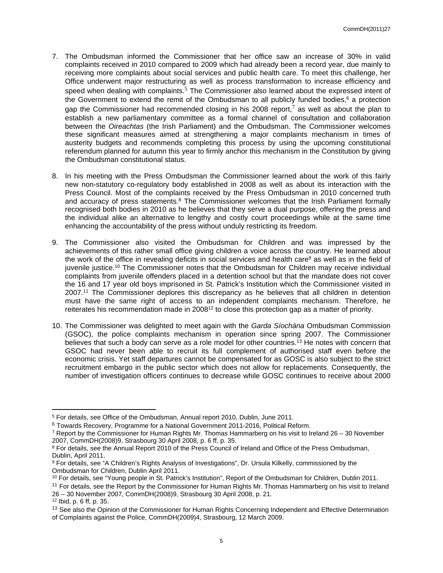- 7. The Ombudsman informed the Commissioner that her office saw an increase of 30% in valid complaints received in 2010 compared to 2009 which had already been a record year, due mainly to receiving more complaints about social services and public health care. To meet this challenge, her Office underwent major restructuring as well as process transformation to increase efficiency and speed when dealing with complaints.<sup>5</sup> The Commissioner also learned about the expressed intent of the Government to extend the remit of the Ombudsman to all publicly funded bodies,<sup>6</sup> a protection gap the Commissioner had recommended closing in his 2008 report,<sup>7</sup> as well as about the plan to establish a new parliamentary committee as a formal channel of consultation and collaboration between the *Oireachtas* (the Irish Parliament) and the Ombudsman. The Commissioner welcomes these significant measures aimed at strengthening a major complaints mechanism in times of austerity budgets and recommends completing this process by using the upcoming constitutional referendum planned for autumn this year to firmly anchor this mechanism in the Constitution by giving the Ombudsman constitutional status.
- 8. In his meeting with the Press Ombudsman the Commissioner learned about the work of this fairly new non-statutory co-regulatory body established in 2008 as well as about its interaction with the Press Council. Most of the complaints received by the Press Ombudsman in 2010 concerned truth and accuracy of press statements.<sup>8</sup> The Commissioner welcomes that the Irish Parliament formally recognised both bodies in 2010 as he believes that they serve a dual purpose, offering the press and the individual alike an alternative to lengthy and costly court proceedings while at the same time enhancing the accountability of the press without unduly restricting its freedom.
- 9. The Commissioner also visited the Ombudsman for Children and was impressed by the achievements of this rather small office giving children a voice across the country. He learned about the work of the office in revealing deficits in social services and health care<sup>9</sup> as well as in the field of juvenile justice.<sup>10</sup> The Commissioner notes that the Ombudsman for Children may receive individual complaints from juvenile offenders placed in a detention school but that the mandate does not cover the 16 and 17 year old boys imprisoned in St. Patrick's Institution which the Commissioner visited in 2007.<sup>11</sup> The Commissioner deplores this discrepancy as he believes that all children in detention must have the same right of access to an independent complaints mechanism. Therefore, he reiterates his recommendation made in 2008<sup>12</sup> to close this protection gap as a matter of priority.
- 10. The Commissioner was delighted to meet again with the *Garda Síochána* Ombudsman Commission (GSOC), the police complaints mechanism in operation since spring 2007. The Commissioner believes that such a body can serve as a role model for other countries.<sup>13</sup> He notes with concern that GSOC had never been able to recruit its full complement of authorised staff even before the economic crisis. Yet staff departures cannot be compensated for as GOSC is also subject to the strict recruitment embargo in the public sector which does not allow for replacements. Consequently, the number of investigation officers continues to decrease while GOSC continues to receive about 2000

<sup>5</sup> For details, see Office of the Ombudsman, Annual report 2010, Dublin, June 2011.

<sup>6</sup> Towards Recovery, Programme for a National Government 2011-2016, Political Reform.

<sup>7</sup> Report by the Commissioner for Human Rights Mr. Thomas Hammarberg on his visit to Ireland 26 – 30 November 2007, CommDH(2008)9, Strasbourg 30 April 2008, p. 6 ff, p. 35.

<sup>&</sup>lt;sup>8</sup> For details, see the Annual Report 2010 of the Press Council of Ireland and Office of the Press Ombudsman, Dublin, April 2011.

<sup>&</sup>lt;sup>9</sup> For details, see "A Children's Rights Analysis of Investigations", Dr. Ursula Kilkelly, commissioned by the Ombudsman for Children, Dublin April 2011.

<sup>10</sup> For details, see "Young people in St. Patrick's Institution", Report of the Ombudsman for Children, Dublin 2011.

<sup>&</sup>lt;sup>11</sup> For details, see the Report by the Commissioner for Human Rights Mr. Thomas Hammarberg on his visit to Ireland 26 – 30 November 2007, CommDH(2008)9, Strasbourg 30 April 2008, p. 21.

<sup>12</sup> Ibid, p. 6 ff, p. 35.

<sup>&</sup>lt;sup>13</sup> See also the Opinion of the Commissioner for Human Rights Concerning Independent and Effective Determination of Complaints against the Police, CommDH(2009)4, Strasbourg, 12 March 2009.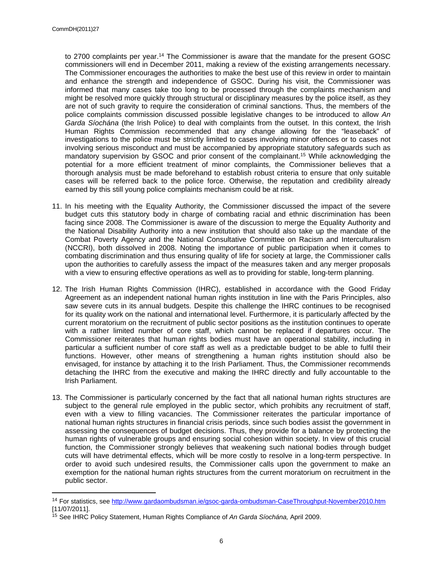to 2700 complaints per year.<sup>14</sup> The Commissioner is aware that the mandate for the present GOSC commissioners will end in December 2011, making a review of the existing arrangements necessary. The Commissioner encourages the authorities to make the best use of this review in order to maintain and enhance the strength and independence of GSOC. During his visit, the Commissioner was informed that many cases take too long to be processed through the complaints mechanism and might be resolved more quickly through structural or disciplinary measures by the police itself, as they are not of such gravity to require the consideration of criminal sanctions. Thus, the members of the police complaints commission discussed possible legislative changes to be introduced to allow *An Garda Síochána* (the Irish Police) to deal with complaints from the outset. In this context, the Irish Human Rights Commission recommended that any change allowing for the "leaseback" of investigations to the police must be strictly limited to cases involving minor offences or to cases not involving serious misconduct and must be accompanied by appropriate statutory safeguards such as mandatory supervision by GSOC and prior consent of the complainant.<sup>15</sup> While acknowledging the potential for a more efficient treatment of minor complaints, the Commissioner believes that a thorough analysis must be made beforehand to establish robust criteria to ensure that only suitable cases will be referred back to the police force. Otherwise, the reputation and credibility already earned by this still young police complaints mechanism could be at risk.

- 11. In his meeting with the Equality Authority, the Commissioner discussed the impact of the severe budget cuts this statutory body in charge of combating racial and ethnic discrimination has been facing since 2008. The Commissioner is aware of the discussion to merge the Equality Authority and the National Disability Authority into a new institution that should also take up the mandate of the Combat Poverty Agency and the National Consultative Committee on Racism and Interculturalism (NCCRI), both dissolved in 2008. Noting the importance of public participation when it comes to combating discrimination and thus ensuring quality of life for society at large, the Commissioner calls upon the authorities to carefully assess the impact of the measures taken and any merger proposals with a view to ensuring effective operations as well as to providing for stable, long-term planning.
- 12. The Irish Human Rights Commission (IHRC), established in accordance with the Good Friday Agreement as an independent national human rights institution in line with the Paris Principles, also saw severe cuts in its annual budgets. Despite this challenge the IHRC continues to be recognised for its quality work on the national and international level. Furthermore, it is particularly affected by the current moratorium on the recruitment of public sector positions as the institution continues to operate with a rather limited number of core staff, which cannot be replaced if departures occur. The Commissioner reiterates that human rights bodies must have an operational stability, including in particular a sufficient number of core staff as well as a predictable budget to be able to fulfil their functions. However, other means of strengthening a human rights institution should also be envisaged, for instance by attaching it to the Irish Parliament. Thus, the Commissioner recommends detaching the IHRC from the executive and making the IHRC directly and fully accountable to the Irish Parliament.
- 13. The Commissioner is particularly concerned by the fact that all national human rights structures are subject to the general rule employed in the public sector, which prohibits any recruitment of staff, even with a view to filling vacancies. The Commissioner reiterates the particular importance of national human rights structures in financial crisis periods, since such bodies assist the government in assessing the consequences of budget decisions. Thus, they provide for a balance by protecting the human rights of vulnerable groups and ensuring social cohesion within society. In view of this crucial function, the Commissioner strongly believes that weakening such national bodies through budget cuts will have detrimental effects, which will be more costly to resolve in a long-term perspective. In order to avoid such undesired results, the Commissioner calls upon the government to make an exemption for the national human rights structures from the current moratorium on recruitment in the public sector.

<sup>14</sup> For statistics, see <http://www.gardaombudsman.ie/gsoc-garda-ombudsman-CaseThroughput-November2010.htm> [11/07/2011].

<sup>15</sup> See IHRC Policy Statement, Human Rights Compliance of *An Garda Síochána,* April 2009.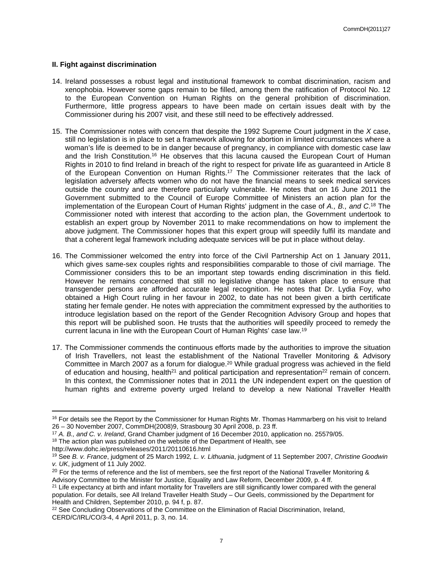#### **II. Fight against discrimination**

- 14. Ireland possesses a robust legal and institutional framework to combat discrimination, racism and xenophobia. However some gaps remain to be filled, among them the ratification of Protocol No. 12 to the European Convention on Human Rights on the general prohibition of discrimination. Furthermore, little progress appears to have been made on certain issues dealt with by the Commissioner during his 2007 visit, and these still need to be effectively addressed.
- 15. The Commissioner notes with concern that despite the 1992 Supreme Court judgment in the *X* case, still no legislation is in place to set a framework allowing for abortion in limited circumstances where a woman's life is deemed to be in danger because of pregnancy, in compliance with domestic case law and the Irish Constitution.<sup>16</sup> He observes that this lacuna caused the European Court of Human Rights in 2010 to find Ireland in breach of the right to respect for private life as guaranteed in Article 8 of the European Convention on Human Rights.<sup>17</sup> The Commissioner reiterates that the lack of legislation adversely affects women who do not have the financial means to seek medical services outside the country and are therefore particularly vulnerable. He notes that on 16 June 2011 the Government submitted to the Council of Europe Committee of Ministers an action plan for the implementation of the European Court of Human Rights' judgment in the case of *A., B., and C*. <sup>18</sup> The Commissioner noted with interest that according to the action plan, the Government undertook to establish an expert group by November 2011 to make recommendations on how to implement the above judgment. The Commissioner hopes that this expert group will speedily fulfil its mandate and that a coherent legal framework including adequate services will be put in place without delay.
- 16. The Commissioner welcomed the entry into force of the Civil Partnership Act on 1 January 2011, which gives same-sex couples rights and responsibilities comparable to those of civil marriage. The Commissioner considers this to be an important step towards ending discrimination in this field. However he remains concerned that still no legislative change has taken place to ensure that transgender persons are afforded accurate legal recognition. He notes that Dr. Lydia Foy, who obtained a High Court ruling in her favour in 2002, to date has not been given a birth certificate stating her female gender. He notes with appreciation the commitment expressed by the authorities to introduce legislation based on the report of the Gender Recognition Advisory Group and hopes that this report will be published soon. He trusts that the authorities will speedily proceed to remedy the current lacuna in line with the European Court of Human Rights' case law.<sup>19</sup>
- 17. The Commissioner commends the continuous efforts made by the authorities to improve the situation of Irish Travellers, not least the establishment of the National Traveller Monitoring & Advisory Committee in March 2007 as a forum for dialogue.<sup>20</sup> While gradual progress was achieved in the field of education and housing, health<sup>21</sup> and political participation and representation<sup>22</sup> remain of concern. In this context, the Commissioner notes that in 2011 the UN independent expert on the question of human rights and extreme poverty urged Ireland to develop a new National Traveller Health

<sup>&</sup>lt;sup>16</sup> For details see the Report by the Commissioner for Human Rights Mr. Thomas Hammarberg on his visit to Ireland 26 – 30 November 2007, CommDH(2008)9, Strasbourg 30 April 2008, p. 23 ff.

<sup>17</sup> *A. B., and C. v. Ireland*, Grand Chamber judgment of 16 December 2010, application no. 25579/05.

<sup>&</sup>lt;sup>18</sup> The action plan was published on the website of the Department of Health, see

http://www.dohc.ie/press/releases/2011/20110616.html

<sup>19</sup> See *B. v. France*, judgment of 25 March 1992*, L. v. Lithuania*, judgment of 11 September 2007, *Christine Goodwin v. UK*, judgment of 11 July 2002.

<sup>&</sup>lt;sup>20</sup> For the terms of reference and the list of members, see the first report of the National Traveller Monitoring  $\&$ Advisory Committee to the Minister for Justice, Equality and Law Reform, December 2009, p. 4 ff.

 $21$  Life expectancy at birth and infant mortality for Travellers are still significantly lower compared with the general population. For details, see All Ireland Traveller Health Study – Our Geels, commissioned by the Department for Health and Children, September 2010, p. 94 f, p. 87.

<sup>&</sup>lt;sup>22</sup> See Concluding Observations of the Committee on the Elimination of Racial Discrimination, Ireland, CERD/C/IRL/CO/3-4, 4 April 2011, p. 3, no. 14.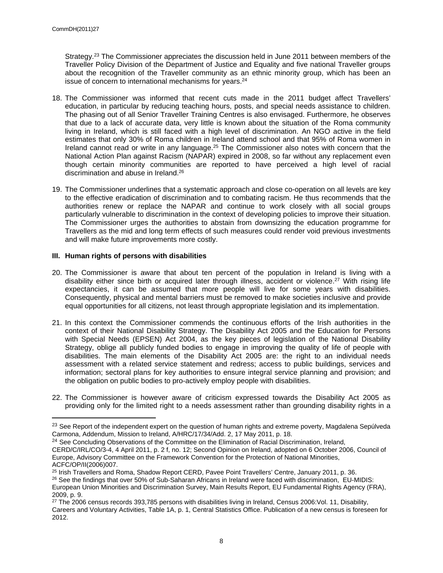Strategy.<sup>23</sup> The Commissioner appreciates the discussion held in June 2011 between members of the Traveller Policy Division of the Department of Justice and Equality and five national Traveller groups about the recognition of the Traveller community as an ethnic minority group, which has been an issue of concern to international mechanisms for years.<sup>24</sup>

- 18. The Commissioner was informed that recent cuts made in the 2011 budget affect Travellers' education, in particular by reducing teaching hours, posts, and special needs assistance to children. The phasing out of all Senior Traveller Training Centres is also envisaged. Furthermore, he observes that due to a lack of accurate data, very little is known about the situation of the Roma community living in Ireland, which is still faced with a high level of discrimination. An NGO active in the field estimates that only 30% of Roma children in Ireland attend school and that 95% of Roma women in Ireland cannot read or write in any language.<sup>25</sup> The Commissioner also notes with concern that the National Action Plan against Racism (NAPAR) expired in 2008, so far without any replacement even though certain minority communities are reported to have perceived a high level of racial discrimination and abuse in Ireland.<sup>26</sup>
- 19. The Commissioner underlines that a systematic approach and close co-operation on all levels are key to the effective eradication of discrimination and to combating racism. He thus recommends that the authorities renew or replace the NAPAR and continue to work closely with all social groups particularly vulnerable to discrimination in the context of developing policies to improve their situation. The Commissioner urges the authorities to abstain from downsizing the education programme for Travellers as the mid and long term effects of such measures could render void previous investments and will make future improvements more costly.

### **III. Human rights of persons with disabilities**

- 20. The Commissioner is aware that about ten percent of the population in Ireland is living with a disability either since birth or acquired later through illness, accident or violence.<sup>27</sup> With rising life expectancies, it can be assumed that more people will live for some years with disabilities. Consequently, physical and mental barriers must be removed to make societies inclusive and provide equal opportunities for all citizens, not least through appropriate legislation and its implementation.
- 21. In this context the Commissioner commends the continuous efforts of the Irish authorities in the context of their National Disability Strategy. The Disability Act 2005 and the Education for Persons with Special Needs (EPSEN) Act 2004, as the key pieces of legislation of the National Disability Strategy, oblige all publicly funded bodies to engage in improving the quality of life of people with disabilities. The main elements of the Disability Act 2005 are: the right to an individual needs assessment with a related service statement and redress; access to public buildings, services and information; sectoral plans for key authorities to ensure integral service planning and provision; and the obligation on public bodies to pro-actively employ people with disabilities.
- 22. The Commissioner is however aware of criticism expressed towards the Disability Act 2005 as providing only for the limited right to a needs assessment rather than grounding disability rights in a

<sup>&</sup>lt;sup>23</sup> See Report of the independent expert on the question of human rights and extreme poverty, Magdalena Sepúlveda Carmona, Addendum, Mission to Ireland, A/HRC/17/34/Add. 2, 17 May 2011, p. 18.

<sup>&</sup>lt;sup>24</sup> See Concluding Observations of the Committee on the Elimination of Racial Discrimination, Ireland,

CERD/C/IRL/CO/3-4, 4 April 2011, p. 2 f, no. 12; Second Opinion on Ireland, adopted on 6 October 2006, Council of Europe, Advisory Committee on the Framework Convention for the Protection of National Minorities, ACFC/OP/II(2006)007.

<sup>25</sup> Irish Travellers and Roma, Shadow Report CERD, Pavee Point Travellers' Centre, January 2011, p. 36. <sup>26</sup> See the findings that over 50% of Sub-Saharan Africans in Ireland were faced with discrimination, EU-MIDIS: European Union Minorities and Discrimination Survey, Main Results Report, EU Fundamental Rights Agency (FRA), 2009, p. 9.

 $27$  The 2006 census records 393,785 persons with disabilities living in Ireland, Census 2006: Vol. 11, Disability, Careers and Voluntary Activities, Table 1A, p. 1, Central Statistics Office. Publication of a new census is foreseen for 2012.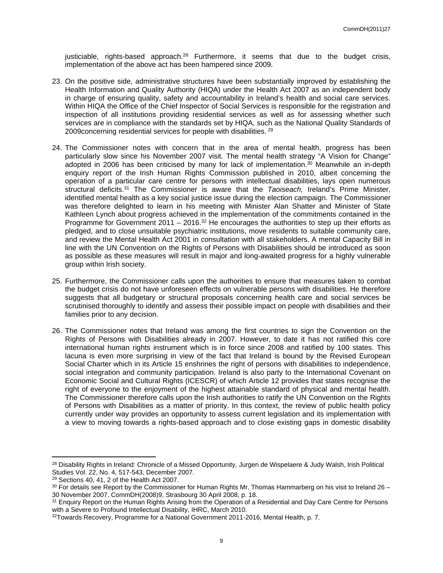justiciable, rights-based approach.<sup>28</sup> Furthermore, it seems that due to the budget crisis, implementation of the above act has been hampered since 2009.

- 23. On the positive side, administrative structures have been substantially improved by establishing the Health Information and Quality Authority (HIQA) under the Health Act 2007 as an independent body in charge of ensuring quality, safety and accountability in Ireland's health and social care services. Within HIQA the Office of the Chief Inspector of Social Services is responsible for the registration and inspection of all institutions providing residential services as well as for assessing whether such services are in compliance with the standards set by HIQA, such as the National Quality Standards of 2009 concerning residential services for people with disabilities. <sup>29</sup>
- 24. The Commissioner notes with concern that in the area of mental health, progress has been particularly slow since his November 2007 visit. The mental health strategy "A Vision for Change" adopted in 2006 has been criticised by many for lack of implementation. $30$  Meanwhile an in-depth enquiry report of the Irish Human Rights Commission published in 2010, albeit concerning the operation of a particular care centre for persons with intellectual disabilities, lays open numerous structural deficits.<sup>31</sup> The Commissioner is aware that the *Taoiseach,* Ireland's Prime Minister, identified mental health as a key social justice issue during the election campaign. The Commissioner was therefore delighted to learn in his meeting with Minister Alan Shatter and Minister of State Kathleen Lynch about progress achieved in the implementation of the commitments contained in the Programme for Government 2011 – 2016.<sup>32</sup> He encourages the authorities to step up their efforts as pledged, and to close unsuitable psychiatric institutions, move residents to suitable community care, and review the Mental Health Act 2001 in consultation with all stakeholders. A mental Capacity Bill in line with the UN Convention on the Rights of Persons with Disabilities should be introduced as soon as possible as these measures will result in major and long-awaited progress for a highly vulnerable group within Irish society.
- 25. Furthermore, the Commissioner calls upon the authorities to ensure that measures taken to combat the budget crisis do not have unforeseen effects on vulnerable persons with disabilities. He therefore suggests that all budgetary or structural proposals concerning health care and social services be scrutinised thoroughly to identify and assess their possible impact on people with disabilities and their families prior to any decision.
- 26. The Commissioner notes that Ireland was among the first countries to sign the Convention on the Rights of Persons with Disabilities already in 2007. However, to date it has not ratified this core international human rights instrument which is in force since 2008 and ratified by 100 states. This lacuna is even more surprising in view of the fact that Ireland is bound by the Revised European Social Charter which in its Article 15 enshrines the right of persons with disabilities to independence, social integration and community participation. Ireland is also party to the International Covenant on Economic Social and Cultural Rights (ICESCR) of which Article 12 provides that states recognise the right of everyone to the enjoyment of the highest attainable standard of physical and mental health. The Commissioner therefore calls upon the Irish authorities to ratify the UN Convention on the Rights of Persons with Disabilities as a matter of priority. In this context, the review of public health policy currently under way provides an opportunity to assess current legislation and its implementation with a view to moving towards a rights-based approach and to close existing gaps in domestic disability

<sup>&</sup>lt;sup>28</sup> Disability Rights in Ireland: Chronicle of a Missed Opportunity, Jurgen de Wispelaere & Judy Walsh, Irish Political Studies Vol. 22, No. 4, 517-543, December 2007.

<sup>29</sup> Sections 40, 41, 2 of the Health Act 2007.

 $30$  For details see Report by the Commissioner for Human Rights Mr. Thomas Hammarberg on his visit to Ireland 26 – 30 November 2007, CommDH(2008)9, Strasbourg 30 April 2008, p. 18.

<sup>&</sup>lt;sup>31</sup> Enquiry Report on the Human Rights Arising from the Operation of a Residential and Day Care Centre for Persons with a Severe to Profound Intellectual Disability, IHRC, March 2010.

<sup>32</sup>Towards Recovery, Programme for a National Government 2011-2016, Mental Health, p. 7.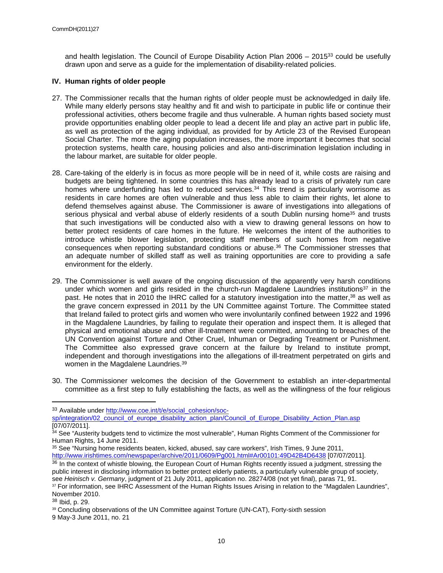and health legislation. The Council of Europe Disability Action Plan  $2006 - 2015^{33}$  could be usefully drawn upon and serve as a guide for the implementation of disability-related policies.

### **IV. Human rights of older people**

- 27. The Commissioner recalls that the human rights of older people must be acknowledged in daily life. While many elderly persons stay healthy and fit and wish to participate in public life or continue their professional activities, others become fragile and thus vulnerable. A human rights based society must provide opportunities enabling older people to lead a decent life and play an active part in public life, as well as protection of the aging individual, as provided for by Article 23 of the Revised European Social Charter. The more the aging population increases, the more important it becomes that social protection systems, health care, housing policies and also anti-discrimination legislation including in the labour market, are suitable for older people.
- 28. Care-taking of the elderly is in focus as more people will be in need of it, while costs are raising and budgets are being tightened. In some countries this has already lead to a crisis of privately run care homes where underfunding has led to reduced services.<sup>34</sup> This trend is particularly worrisome as residents in care homes are often vulnerable and thus less able to claim their rights, let alone to defend themselves against abuse. The Commissioner is aware of investigations into allegations of serious physical and verbal abuse of elderly residents of a south Dublin nursing home<sup>35</sup> and trusts that such investigations will be conducted also with a view to drawing general lessons on how to better protect residents of care homes in the future. He welcomes the intent of the authorities to introduce whistle blower legislation, protecting staff members of such homes from negative consequences when reporting substandard conditions or abuse.<sup>36</sup> The Commissioner stresses that an adequate number of skilled staff as well as training opportunities are core to providing a safe environment for the elderly.
- 29. The Commissioner is well aware of the ongoing discussion of the apparently very harsh conditions under which women and girls resided in the church-run Magdalene Laundries institutions<sup>37</sup> in the past. He notes that in 2010 the IHRC called for a statutory investigation into the matter,<sup>38</sup> as well as the grave concern expressed in 2011 by the UN Committee against Torture. The Committee stated that Ireland failed to protect girls and women who were involuntarily confined between 1922 and 1996 in the Magdalene Laundries, by failing to regulate their operation and inspect them. It is alleged that physical and emotional abuse and other ill-treatment were committed, amounting to breaches of the UN Convention against Torture and Other Cruel, Inhuman or Degrading Treatment or Punishment. The Committee also expressed grave concern at the failure by Ireland to institute prompt, independent and thorough investigations into the allegations of ill-treatment perpetrated on girls and women in the Magdalene Laundries.<sup>39</sup>
- 30. The Commissioner welcomes the decision of the Government to establish an inter-departmental committee as a first step to fully establishing the facts, as well as the willingness of the four religious

<sup>33</sup> Available under [http://www.coe.int/t/e/social\\_cohesion/soc-](http://www.coe.int/t/e/social_cohesion/soc-sp/integration/02_council_of_europe_disability_action_plan/Council_of_Europe_Disability_Action_Plan.asp)

[sp/integration/02\\_council\\_of\\_europe\\_disability\\_action\\_plan/Council\\_of\\_Europe\\_Disability\\_Action\\_Plan.asp](http://www.coe.int/t/e/social_cohesion/soc-sp/integration/02_council_of_europe_disability_action_plan/Council_of_Europe_Disability_Action_Plan.asp) [07/07/2011].

<sup>&</sup>lt;sup>34</sup> See "Austerity budgets tend to victimize the most vulnerable", Human Rights Comment of the Commissioner for Human Rights, 14 June 2011.

<sup>35</sup> See "Nursing home residents beaten, kicked, abused, say care workers", Irish Times, 9 June 2011, <http://www.irishtimes.com/newspaper/archive/2011/0609/Pg001.html#Ar00101:49D42B4D6438>[07/07/2011].

<sup>&</sup>lt;sup>36</sup> In the context of whistle blowing, the European Court of Human Rights recently issued a judgment, stressing the public interest in disclosing information to better protect elderly patients, a particularly vulnerable group of society, see *Heinisch v. Germany*, judgment of 21 July 2011, application no. 28274/08 (not yet final), paras 71, 91. <sup>37</sup> For information, see IHRC Assessment of the Human Rights Issues Arising in relation to the "Magdalen Laundries",

November 2010.

<sup>38</sup> Ibid, p. 29.

<sup>39</sup> Concluding observations of the UN Committee against Torture (UN-CAT), Forty-sixth session 9 May-3 June 2011, no. 21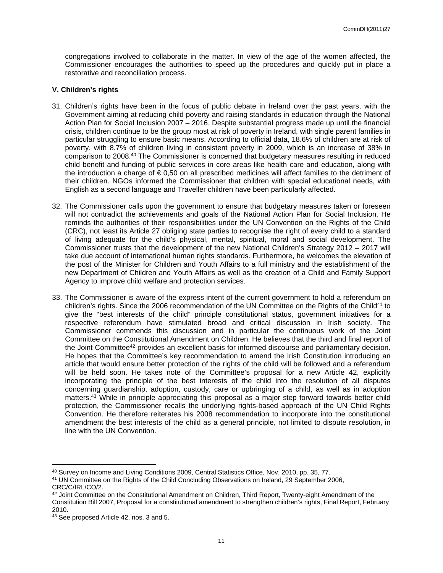congregations involved to collaborate in the matter. In view of the age of the women affected, the Commissioner encourages the authorities to speed up the procedures and quickly put in place a restorative and reconciliation process.

#### **V. Children's rights**

- 31. Children's rights have been in the focus of public debate in Ireland over the past years, with the Government aiming at reducing child poverty and raising standards in education through the National Action Plan for Social Inclusion 2007 – 2016. Despite substantial progress made up until the financial crisis, children continue to be the group most at risk of poverty in Ireland, with single parent families in particular struggling to ensure basic means. According to official data, 18.6% of children are at risk of poverty, with 8.7% of children living in consistent poverty in 2009, which is an increase of 38% in comparison to 2008.<sup>40</sup> The Commissioner is concerned that budgetary measures resulting in reduced child benefit and funding of public services in core areas like health care and education, along with the introduction a charge of € 0,50 on all prescribed medicines will affect families to the detriment of their children. NGOs informed the Commissioner that children with special educational needs, with English as a second language and Traveller children have been particularly affected.
- 32. The Commissioner calls upon the government to ensure that budgetary measures taken or foreseen will not contradict the achievements and goals of the National Action Plan for Social Inclusion. He reminds the authorities of their responsibilities under the UN Convention on the Rights of the Child (CRC), not least its Article 27 obliging state parties to recognise the right of every child to a standard of living adequate for the child's physical, mental, spiritual, moral and social development. The Commissioner trusts that the development of the new National Children's Strategy 2012 – 2017 will take due account of international human rights standards. Furthermore, he welcomes the elevation of the post of the Minister for Children and Youth Affairs to a full ministry and the establishment of the new Department of Children and Youth Affairs as well as the creation of a Child and Family Support Agency to improve child welfare and protection services.
- 33. The Commissioner is aware of the express intent of the current government to hold a referendum on children's rights. Since the 2006 recommendation of the UN Committee on the Rights of the Child<sup>41</sup> to give the "best interests of the child" principle constitutional status, government initiatives for a respective referendum have stimulated broad and critical discussion in Irish society. The Commissioner commends this discussion and in particular the continuous work of the Joint Committee on the Constitutional Amendment on Children. He believes that the third and final report of the Joint Committee<sup>42</sup> provides an excellent basis for informed discourse and parliamentary decision. He hopes that the Committee's key recommendation to amend the Irish Constitution introducing an article that would ensure better protection of the rights of the child will be followed and a referendum will be held soon. He takes note of the Committee's proposal for a new Article 42, explicitly incorporating the principle of the best interests of the child into the resolution of all disputes concerning guardianship, adoption, custody, care or upbringing of a child, as well as in adoption matters.<sup>43</sup> While in principle appreciating this proposal as a major step forward towards better child protection, the Commissioner recalls the underlying rights-based approach of the UN Child Rights Convention. He therefore reiterates his 2008 recommendation to incorporate into the constitutional amendment the best interests of the child as a general principle, not limited to dispute resolution, in line with the UN Convention.

<sup>40</sup> Survey on Income and Living Conditions 2009, Central Statistics Office, Nov. 2010, pp. 35, 77.

<sup>41</sup> UN Committee on the Rights of the Child Concluding Observations on Ireland, 29 September 2006, CRC/C/IRL/CO/2.

<sup>42</sup> Joint Committee on the Constitutional Amendment on Children, Third Report, Twenty-eight Amendment of the Constitution Bill 2007, Proposal for a constitutional amendment to strengthen children's rights, Final Report, February 2010.

<sup>43</sup> See proposed Article 42, nos. 3 and 5.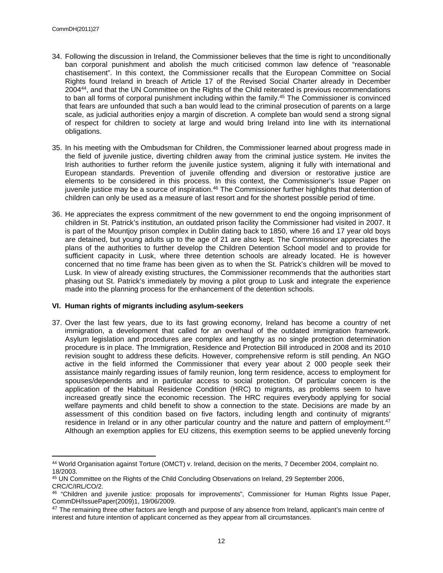- 34. Following the discussion in Ireland, the Commissioner believes that the time is right to unconditionally ban corporal punishment and abolish the much criticised common law defence of "reasonable chastisement". In this context, the Commissioner recalls that the European Committee on Social Rights found Ireland in breach of Article 17 of the Revised Social Charter already in December 2004<sup>44</sup>, and that the UN Committee on the Rights of the Child reiterated is previous recommendations to ban all forms of corporal punishment including within the family.<sup>45</sup> The Commissioner is convinced that fears are unfounded that such a ban would lead to the criminal prosecution of parents on a large scale, as judicial authorities enjoy a margin of discretion. A complete ban would send a strong signal of respect for children to society at large and would bring Ireland into line with its international obligations.
- 35. In his meeting with the Ombudsman for Children, the Commissioner learned about progress made in the field of juvenile justice, diverting children away from the criminal justice system. He invites the Irish authorities to further reform the juvenile justice system, aligning it fully with international and European standards. Prevention of juvenile offending and diversion or restorative justice are elements to be considered in this process. In this context, the Commissioner's Issue Paper on juvenile justice may be a source of inspiration.<sup>46</sup> The Commissioner further highlights that detention of children can only be used as a measure of last resort and for the shortest possible period of time.
- 36. He appreciates the express commitment of the new government to end the ongoing imprisonment of children in St. Patrick's institution, an outdated prison facility the Commissioner had visited in 2007. It is part of the Mountjoy prison complex in Dublin dating back to 1850, where 16 and 17 year old boys are detained, but young adults up to the age of 21 are also kept. The Commissioner appreciates the plans of the authorities to further develop the Children Detention School model and to provide for sufficient capacity in Lusk, where three detention schools are already located. He is however concerned that no time frame has been given as to when the St. Patrick's children will be moved to Lusk. In view of already existing structures, the Commissioner recommends that the authorities start phasing out St. Patrick's immediately by moving a pilot group to Lusk and integrate the experience made into the planning process for the enhancement of the detention schools.

#### **VI. Human rights of migrants including asylum-seekers**

37. Over the last few years, due to its fast growing economy, Ireland has become a country of net immigration, a development that called for an overhaul of the outdated immigration framework. Asylum legislation and procedures are complex and lengthy as no single protection determination procedure is in place. The Immigration, Residence and Protection Bill introduced in 2008 and its 2010 revision sought to address these deficits. However, comprehensive reform is still pending. An NGO active in the field informed the Commissioner that every year about 2 000 people seek their assistance mainly regarding issues of family reunion, long term residence, access to employment for spouses/dependents and in particular access to social protection. Of particular concern is the application of the Habitual Residence Condition (HRC) to migrants, as problems seem to have increased greatly since the economic recession. The HRC requires everybody applying for social welfare payments and child benefit to show a connection to the state. Decisions are made by an assessment of this condition based on five factors, including length and continuity of migrants' residence in Ireland or in any other particular country and the nature and pattern of employment.<sup>47</sup> Although an exemption applies for EU citizens, this exemption seems to be applied unevenly forcing

<sup>44</sup> World Organisation against Torture (OMCT) v. Ireland, decision on the merits, 7 December 2004, complaint no. 18/2003.

<sup>45</sup> UN Committee on the Rights of the Child Concluding Observations on Ireland, 29 September 2006, CRC/C/IRL/CO/2.

<sup>46</sup> "Children and juvenile justice: proposals for improvements", Commissioner for Human Rights Issue Paper, CommDH/IssuePaper(2009)1, 19/06/2009.

<sup>&</sup>lt;sup>47</sup> The remaining three other factors are length and purpose of any absence from Ireland, applicant's main centre of interest and future intention of applicant concerned as they appear from all circumstances.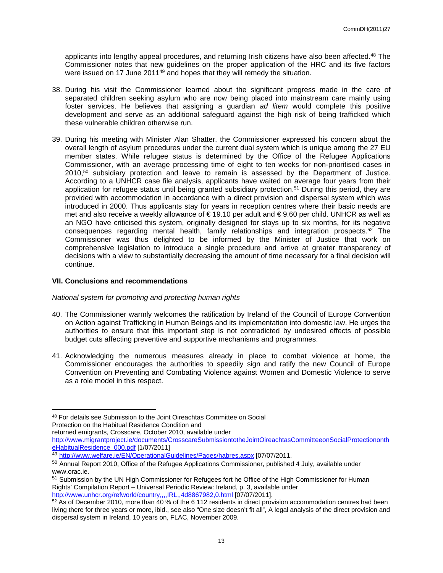applicants into lengthy appeal procedures, and returning Irish citizens have also been affected.<sup>48</sup> The Commissioner notes that new guidelines on the proper application of the HRC and its five factors were issued on 17 June 2011<sup>49</sup> and hopes that they will remedy the situation.

- 38. During his visit the Commissioner learned about the significant progress made in the care of separated children seeking asylum who are now being placed into mainstream care mainly using foster services. He believes that assigning a guardian *ad litem* would complete this positive development and serve as an additional safeguard against the high risk of being trafficked which these vulnerable children otherwise run.
- 39. During his meeting with Minister Alan Shatter, the Commissioner expressed his concern about the overall length of asylum procedures under the current dual system which is unique among the 27 EU member states. While refugee status is determined by the Office of the Refugee Applications Commissioner, with an average processing time of eight to ten weeks for non-prioritised cases in  $2010$ ,<sup>50</sup> subsidiary protection and leave to remain is assessed by the Department of Justice. According to a UNHCR case file analysis, applicants have waited on average four years from their application for refugee status until being granted subsidiary protection.<sup>51</sup> During this period, they are provided with accommodation in accordance with a direct provision and dispersal system which was introduced in 2000. Thus applicants stay for years in reception centres where their basic needs are met and also receive a weekly allowance of € 19.10 per adult and € 9.60 per child. UNHCR as well as an NGO have criticised this system, originally designed for stays up to six months, for its negative consequences regarding mental health, family relationships and integration prospects. $52$  The Commissioner was thus delighted to be informed by the Minister of Justice that work on comprehensive legislation to introduce a single procedure and arrive at greater transparency of decisions with a view to substantially decreasing the amount of time necessary for a final decision will continue.

#### **VII. Conclusions and recommendations**

#### *National system for promoting and protecting human rights*

- 40. The Commissioner warmly welcomes the ratification by Ireland of the Council of Europe Convention on Action against Trafficking in Human Beings and its implementation into domestic law. He urges the authorities to ensure that this important step is not contradicted by undesired effects of possible budget cuts affecting preventive and supportive mechanisms and programmes.
- 41. Acknowledging the numerous measures already in place to combat violence at home, the Commissioner encourages the authorities to speedily sign and ratify the new Council of Europe Convention on Preventing and Combating Violence against Women and Domestic Violence to serve as a role model in this respect.

returned emigrants, Crosscare, October 2010, available under

<sup>48</sup> For details see Submission to the Joint Oireachtas Committee on Social Protection on the Habitual Residence Condition and

[http://www.migrantproject.ie/documents/CrosscareSubmissiontotheJointOireachtasCommitteeonSocialProtectiononth](http://www.migrantproject.ie/documents/CrosscareSubmissiontotheJointOireachtasCommitteeonSocialProtectionontheHabitualResidence_000.pdf) [eHabitualResidence\\_000.pdf](http://www.migrantproject.ie/documents/CrosscareSubmissiontotheJointOireachtasCommitteeonSocialProtectionontheHabitualResidence_000.pdf) [1/07/2011]

<sup>49</sup> <http://www.welfare.ie/EN/OperationalGuidelines/Pages/habres.aspx> [07/07/2011.

<sup>50</sup> Annual Report 2010, Office of the Refugee Applications Commissioner, published 4 July, available under www.orac.ie.

<sup>&</sup>lt;sup>51</sup> Submission by the UN High Commissioner for Refugees fort he Office of the High Commissioner for Human Rights' Compilation Report – Universal Periodic Review: Ireland, p. 3, available under <http://www.unhcr.org/refworld/country,,,,IRL,,4d8867982,0.html> [07/07/2011].

<sup>52</sup> As of December 2010, more than 40 % of the 6 112 residents in direct provision accommodation centres had been living there for three years or more, ibid., see also "One size doesn't fit all", A legal analysis of the direct provision and dispersal system in Ireland, 10 years on, FLAC, November 2009.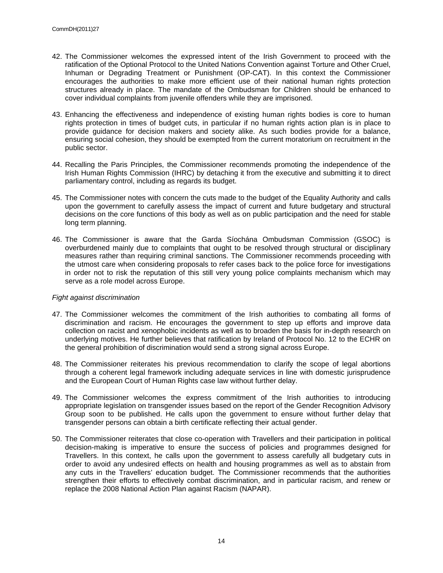- 42. The Commissioner welcomes the expressed intent of the Irish Government to proceed with the ratification of the Optional Protocol to the United Nations Convention against Torture and Other Cruel, Inhuman or Degrading Treatment or Punishment (OP-CAT). In this context the Commissioner encourages the authorities to make more efficient use of their national human rights protection structures already in place. The mandate of the Ombudsman for Children should be enhanced to cover individual complaints from juvenile offenders while they are imprisoned.
- 43. Enhancing the effectiveness and independence of existing human rights bodies is core to human rights protection in times of budget cuts, in particular if no human rights action plan is in place to provide guidance for decision makers and society alike. As such bodies provide for a balance, ensuring social cohesion, they should be exempted from the current moratorium on recruitment in the public sector.
- 44. Recalling the Paris Principles, the Commissioner recommends promoting the independence of the Irish Human Rights Commission (IHRC) by detaching it from the executive and submitting it to direct parliamentary control, including as regards its budget.
- 45. The Commissioner notes with concern the cuts made to the budget of the Equality Authority and calls upon the government to carefully assess the impact of current and future budgetary and structural decisions on the core functions of this body as well as on public participation and the need for stable long term planning.
- 46. The Commissioner is aware that the Garda Síochána Ombudsman Commission (GSOC) is overburdened mainly due to complaints that ought to be resolved through structural or disciplinary measures rather than requiring criminal sanctions. The Commissioner recommends proceeding with the utmost care when considering proposals to refer cases back to the police force for investigations in order not to risk the reputation of this still very young police complaints mechanism which may serve as a role model across Europe.

#### *Fight against discrimination*

- 47. The Commissioner welcomes the commitment of the Irish authorities to combating all forms of discrimination and racism. He encourages the government to step up efforts and improve data collection on racist and xenophobic incidents as well as to broaden the basis for in-depth research on underlying motives. He further believes that ratification by Ireland of Protocol No. 12 to the ECHR on the general prohibition of discrimination would send a strong signal across Europe.
- 48. The Commissioner reiterates his previous recommendation to clarify the scope of legal abortions through a coherent legal framework including adequate services in line with domestic jurisprudence and the European Court of Human Rights case law without further delay.
- 49. The Commissioner welcomes the express commitment of the Irish authorities to introducing appropriate legislation on transgender issues based on the report of the Gender Recognition Advisory Group soon to be published. He calls upon the government to ensure without further delay that transgender persons can obtain a birth certificate reflecting their actual gender.
- 50. The Commissioner reiterates that close co-operation with Travellers and their participation in political decision-making is imperative to ensure the success of policies and programmes designed for Travellers. In this context, he calls upon the government to assess carefully all budgetary cuts in order to avoid any undesired effects on health and housing programmes as well as to abstain from any cuts in the Travellers' education budget. The Commissioner recommends that the authorities strengthen their efforts to effectively combat discrimination, and in particular racism, and renew or replace the 2008 National Action Plan against Racism (NAPAR).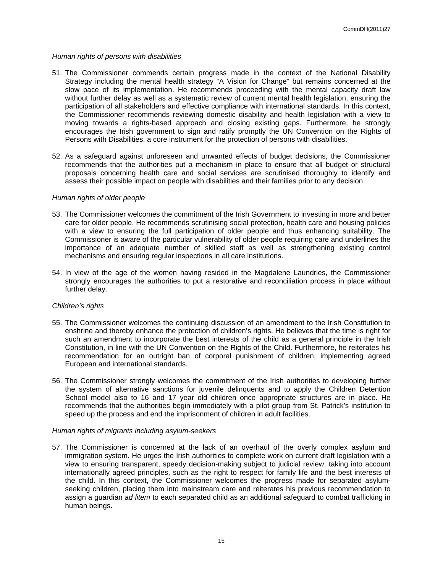#### *Human rights of persons with disabilities*

- 51. The Commissioner commends certain progress made in the context of the National Disability Strategy including the mental health strategy "A Vision for Change" but remains concerned at the slow pace of its implementation. He recommends proceeding with the mental capacity draft law without further delay as well as a systematic review of current mental health legislation, ensuring the participation of all stakeholders and effective compliance with international standards. In this context, the Commissioner recommends reviewing domestic disability and health legislation with a view to moving towards a rights-based approach and closing existing gaps. Furthermore, he strongly encourages the Irish government to sign and ratify promptly the UN Convention on the Rights of Persons with Disabilities, a core instrument for the protection of persons with disabilities.
- 52. As a safeguard against unforeseen and unwanted effects of budget decisions, the Commissioner recommends that the authorities put a mechanism in place to ensure that all budget or structural proposals concerning health care and social services are scrutinised thoroughly to identify and assess their possible impact on people with disabilities and their families prior to any decision.

#### *Human rights of older people*

- 53. The Commissioner welcomes the commitment of the Irish Government to investing in more and better care for older people. He recommends scrutinising social protection, health care and housing policies with a view to ensuring the full participation of older people and thus enhancing suitability. The Commissioner is aware of the particular vulnerability of older people requiring care and underlines the importance of an adequate number of skilled staff as well as strengthening existing control mechanisms and ensuring regular inspections in all care institutions.
- 54. In view of the age of the women having resided in the Magdalene Laundries, the Commissioner strongly encourages the authorities to put a restorative and reconciliation process in place without further delay.

#### *Children's rights*

- 55. The Commissioner welcomes the continuing discussion of an amendment to the Irish Constitution to enshrine and thereby enhance the protection of children's rights. He believes that the time is right for such an amendment to incorporate the best interests of the child as a general principle in the Irish Constitution, in line with the UN Convention on the Rights of the Child. Furthermore, he reiterates his recommendation for an outright ban of corporal punishment of children, implementing agreed European and international standards.
- 56. The Commissioner strongly welcomes the commitment of the Irish authorities to developing further the system of alternative sanctions for juvenile delinquents and to apply the Children Detention School model also to 16 and 17 year old children once appropriate structures are in place. He recommends that the authorities begin immediately with a pilot group from St. Patrick's institution to speed up the process and end the imprisonment of children in adult facilities.

#### *Human rights of migrants including asylum-seekers*

57. The Commissioner is concerned at the lack of an overhaul of the overly complex asylum and immigration system. He urges the Irish authorities to complete work on current draft legislation with a view to ensuring transparent, speedy decision-making subject to judicial review, taking into account internationally agreed principles, such as the right to respect for family life and the best interests of the child. In this context, the Commissioner welcomes the progress made for separated asylumseeking children, placing them into mainstream care and reiterates his previous recommendation to assign a guardian *ad litem* to each separated child as an additional safeguard to combat trafficking in human beings.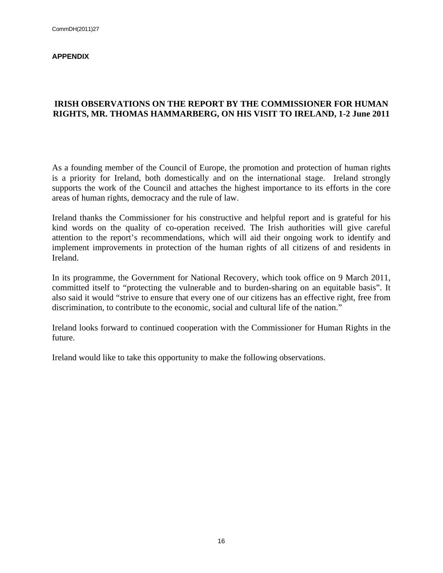#### **APPENDIX**

### **IRISH OBSERVATIONS ON THE REPORT BY THE COMMISSIONER FOR HUMAN RIGHTS, MR. THOMAS HAMMARBERG, ON HIS VISIT TO IRELAND, 1-2 June 2011**

As a founding member of the Council of Europe, the promotion and protection of human rights is a priority for Ireland, both domestically and on the international stage. Ireland strongly supports the work of the Council and attaches the highest importance to its efforts in the core areas of human rights, democracy and the rule of law.

Ireland thanks the Commissioner for his constructive and helpful report and is grateful for his kind words on the quality of co-operation received. The Irish authorities will give careful attention to the report's recommendations, which will aid their ongoing work to identify and implement improvements in protection of the human rights of all citizens of and residents in Ireland.

In its programme, the Government for National Recovery, which took office on 9 March 2011, committed itself to "protecting the vulnerable and to burden-sharing on an equitable basis". It also said it would "strive to ensure that every one of our citizens has an effective right, free from discrimination, to contribute to the economic, social and cultural life of the nation."

Ireland looks forward to continued cooperation with the Commissioner for Human Rights in the future.

Ireland would like to take this opportunity to make the following observations.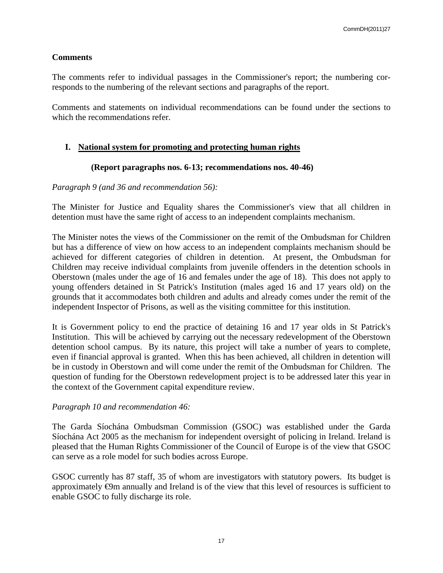### **Comments**

The comments refer to individual passages in the Commissioner's report; the numbering corresponds to the numbering of the relevant sections and paragraphs of the report.

Comments and statements on individual recommendations can be found under the sections to which the recommendations refer.

### **I. National system for promoting and protecting human rights**

### **(Report paragraphs nos. 6-13; recommendations nos. 40-46)**

### *Paragraph 9 (and 36 and recommendation 56):*

The Minister for Justice and Equality shares the Commissioner's view that all children in detention must have the same right of access to an independent complaints mechanism.

The Minister notes the views of the Commissioner on the remit of the Ombudsman for Children but has a difference of view on how access to an independent complaints mechanism should be achieved for different categories of children in detention. At present, the Ombudsman for Children may receive individual complaints from juvenile offenders in the detention schools in Oberstown (males under the age of 16 and females under the age of 18). This does not apply to young offenders detained in St Patrick's Institution (males aged 16 and 17 years old) on the grounds that it accommodates both children and adults and already comes under the remit of the independent Inspector of Prisons, as well as the visiting committee for this institution.

It is Government policy to end the practice of detaining 16 and 17 year olds in St Patrick's Institution. This will be achieved by carrying out the necessary redevelopment of the Oberstown detention school campus. By its nature, this project will take a number of years to complete, even if financial approval is granted. When this has been achieved, all children in detention will be in custody in Oberstown and will come under the remit of the Ombudsman for Children. The question of funding for the Oberstown redevelopment project is to be addressed later this year in the context of the Government capital expenditure review.

### *Paragraph 10 and recommendation 46:*

The Garda Síochána Ombudsman Commission (GSOC) was established under the Garda Síochána Act 2005 as the mechanism for independent oversight of policing in Ireland. Ireland is pleased that the Human Rights Commissioner of the Council of Europe is of the view that GSOC can serve as a role model for such bodies across Europe.

GSOC currently has 87 staff, 35 of whom are investigators with statutory powers. Its budget is approximately  $\Theta$ m annually and Ireland is of the view that this level of resources is sufficient to enable GSOC to fully discharge its role.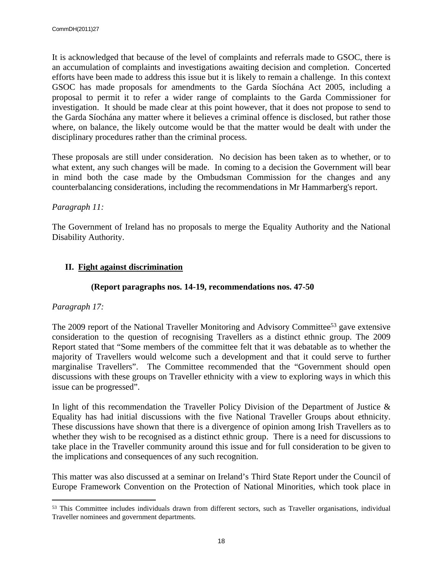It is acknowledged that because of the level of complaints and referrals made to GSOC, there is an accumulation of complaints and investigations awaiting decision and completion. Concerted efforts have been made to address this issue but it is likely to remain a challenge. In this context GSOC has made proposals for amendments to the Garda Síochána Act 2005, including a proposal to permit it to refer a wider range of complaints to the Garda Commissioner for investigation. It should be made clear at this point however, that it does not propose to send to the Garda Síochána any matter where it believes a criminal offence is disclosed, but rather those where, on balance, the likely outcome would be that the matter would be dealt with under the disciplinary procedures rather than the criminal process.

These proposals are still under consideration. No decision has been taken as to whether, or to what extent, any such changes will be made. In coming to a decision the Government will bear in mind both the case made by the Ombudsman Commission for the changes and any counterbalancing considerations, including the recommendations in Mr Hammarberg's report.

### *Paragraph 11:*

The Government of Ireland has no proposals to merge the Equality Authority and the National Disability Authority.

# **II. Fight against discrimination**

### **(Report paragraphs nos. 14-19, recommendations nos. 47-50**

## *Paragraph 17:*

The 2009 report of the National Traveller Monitoring and Advisory Committee<sup>53</sup> gave extensive consideration to the question of recognising Travellers as a distinct ethnic group. The 2009 Report stated that "Some members of the committee felt that it was debatable as to whether the majority of Travellers would welcome such a development and that it could serve to further marginalise Travellers". The Committee recommended that the "Government should open discussions with these groups on Traveller ethnicity with a view to exploring ways in which this issue can be progressed".

In light of this recommendation the Traveller Policy Division of the Department of Justice & Equality has had initial discussions with the five National Traveller Groups about ethnicity. These discussions have shown that there is a divergence of opinion among Irish Travellers as to whether they wish to be recognised as a distinct ethnic group. There is a need for discussions to take place in the Traveller community around this issue and for full consideration to be given to the implications and consequences of any such recognition.

This matter was also discussed at a seminar on Ireland's Third State Report under the Council of Europe Framework Convention on the Protection of National Minorities, which took place in

<sup>&</sup>lt;sup>53</sup> This Committee includes individuals drawn from different sectors, such as Traveller organisations, individual Traveller nominees and government departments.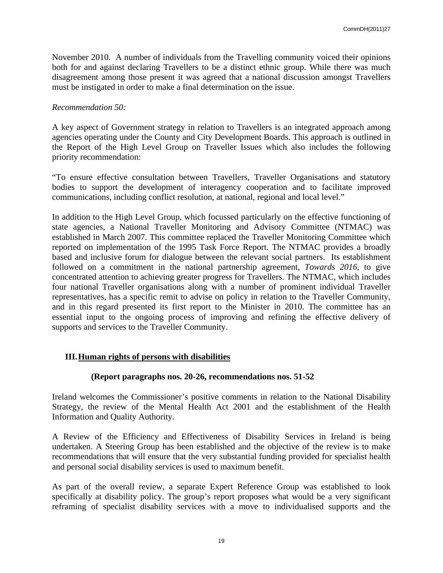November 2010. A number of individuals from the Travelling community voiced their opinions both for and against declaring Travellers to be a distinct ethnic group. While there was much disagreement among those present it was agreed that a national discussion amongst Travellers must be instigated in order to make a final determination on the issue.

### *Recommendation 50:*

A key aspect of Government strategy in relation to Travellers is an integrated approach among agencies operating under the County and City Development Boards. This approach is outlined in the Report of the High Level Group on Traveller Issues which also includes the following priority recommendation:

"To ensure effective consultation between Travellers, Traveller Organisations and statutory bodies to support the development of interagency cooperation and to facilitate improved communications, including conflict resolution, at national, regional and local level."

In addition to the High Level Group, which focussed particularly on the effective functioning of state agencies, a National Traveller Monitoring and Advisory Committee (NTMAC) was established in March 2007. This committee replaced the Traveller Monitoring Committee which reported on implementation of the 1995 Task Force Report. The NTMAC provides a broadly based and inclusive forum for dialogue between the relevant social partners. Its establishment followed on a commitment in the national partnership agreement, *Towards 2016*, to give concentrated attention to achieving greater progress for Travellers. The NTMAC, which includes four national Traveller organisations along with a number of prominent individual Traveller representatives, has a specific remit to advise on policy in relation to the Traveller Community, and in this regard presented its first report to the Minister in 2010. The committee has an essential input to the ongoing process of improving and refining the effective delivery of supports and services to the Traveller Community.

## **III.Human rights of persons with disabilities**

### **(Report paragraphs nos. 20-26, recommendations nos. 51-52**

Ireland welcomes the Commissioner's positive comments in relation to the National Disability Strategy, the review of the Mental Health Act 2001 and the establishment of the Health Information and Quality Authority.

A Review of the Efficiency and Effectiveness of Disability Services in Ireland is being undertaken. A Steering Group has been established and the objective of the review is to make recommendations that will ensure that the very substantial funding provided for specialist health and personal social disability services is used to maximum benefit.

As part of the overall review, a separate Expert Reference Group was established to look specifically at disability policy. The group's report proposes what would be a very significant reframing of specialist disability services with a move to individualised supports and the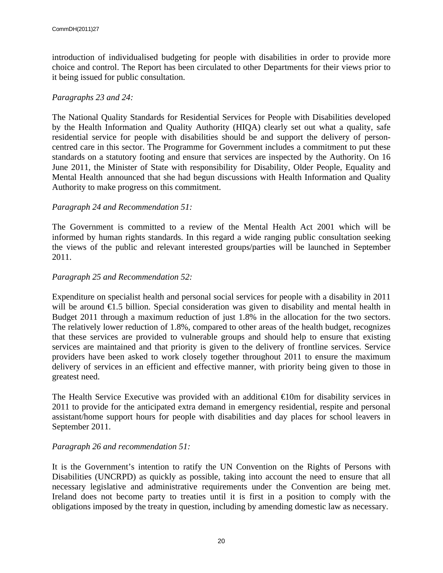introduction of individualised budgeting for people with disabilities in order to provide more choice and control. The Report has been circulated to other Departments for their views prior to it being issued for public consultation.

### *Paragraphs 23 and 24:*

The National Quality Standards for Residential Services for People with Disabilities developed by the Health Information and Quality Authority (HIQA) clearly set out what a quality, safe residential service for people with disabilities should be and support the delivery of personcentred care in this sector. The Programme for Government includes a commitment to put these standards on a statutory footing and ensure that services are inspected by the Authority. On 16 June 2011, the Minister of State with responsibility for Disability, Older People, Equality and Mental Health announced that she had begun discussions with Health Information and Quality Authority to make progress on this commitment.

### *Paragraph 24 and Recommendation 51:*

The Government is committed to a review of the Mental Health Act 2001 which will be informed by human rights standards. In this regard a wide ranging public consultation seeking the views of the public and relevant interested groups/parties will be launched in September 2011.

### *Paragraph 25 and Recommendation 52:*

Expenditure on specialist health and personal social services for people with a disability in 2011 will be around  $\epsilon$ 1.5 billion. Special consideration was given to disability and mental health in Budget 2011 through a maximum reduction of just 1.8% in the allocation for the two sectors. The relatively lower reduction of 1.8%, compared to other areas of the health budget, recognizes that these services are provided to vulnerable groups and should help to ensure that existing services are maintained and that priority is given to the delivery of frontline services. Service providers have been asked to work closely together throughout 2011 to ensure the maximum delivery of services in an efficient and effective manner, with priority being given to those in greatest need.

The Health Service Executive was provided with an additional  $\bigoplus$  om for disability services in 2011 to provide for the anticipated extra demand in emergency residential, respite and personal assistant/home support hours for people with disabilities and day places for school leavers in September 2011.

### *Paragraph 26 and recommendation 51:*

It is the Government's intention to ratify the UN Convention on the Rights of Persons with Disabilities (UNCRPD) as quickly as possible, taking into account the need to ensure that all necessary legislative and administrative requirements under the Convention are being met. Ireland does not become party to treaties until it is first in a position to comply with the obligations imposed by the treaty in question, including by amending domestic law as necessary.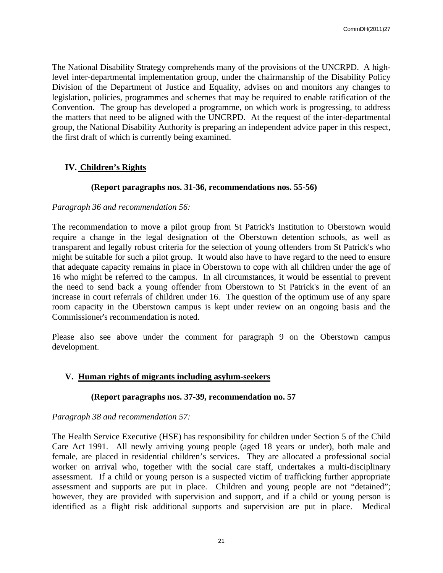The National Disability Strategy comprehends many of the provisions of the UNCRPD. A highlevel inter-departmental implementation group, under the chairmanship of the Disability Policy Division of the Department of Justice and Equality, advises on and monitors any changes to legislation, policies, programmes and schemes that may be required to enable ratification of the Convention. The group has developed a programme, on which work is progressing, to address the matters that need to be aligned with the UNCRPD. At the request of the inter-departmental group, the National Disability Authority is preparing an independent advice paper in this respect, the first draft of which is currently being examined.

# **IV. Children's Rights**

### **(Report paragraphs nos. 31-36, recommendations nos. 55-56)**

### *Paragraph 36 and recommendation 56:*

The recommendation to move a pilot group from St Patrick's Institution to Oberstown would require a change in the legal designation of the Oberstown detention schools, as well as transparent and legally robust criteria for the selection of young offenders from St Patrick's who might be suitable for such a pilot group. It would also have to have regard to the need to ensure that adequate capacity remains in place in Oberstown to cope with all children under the age of 16 who might be referred to the campus. In all circumstances, it would be essential to prevent the need to send back a young offender from Oberstown to St Patrick's in the event of an increase in court referrals of children under 16. The question of the optimum use of any spare room capacity in the Oberstown campus is kept under review on an ongoing basis and the Commissioner's recommendation is noted.

Please also see above under the comment for paragraph 9 on the Oberstown campus development.

### **V. Human rights of migrants including asylum-seekers**

### **(Report paragraphs nos. 37-39, recommendation no. 57**

### *Paragraph 38 and recommendation 57:*

The Health Service Executive (HSE) has responsibility for children under Section 5 of the Child Care Act 1991. All newly arriving young people (aged 18 years or under), both male and female, are placed in residential children's services. They are allocated a professional social worker on arrival who, together with the social care staff, undertakes a multi-disciplinary assessment. If a child or young person is a suspected victim of trafficking further appropriate assessment and supports are put in place. Children and young people are not "detained"; however, they are provided with supervision and support, and if a child or young person is identified as a flight risk additional supports and supervision are put in place. Medical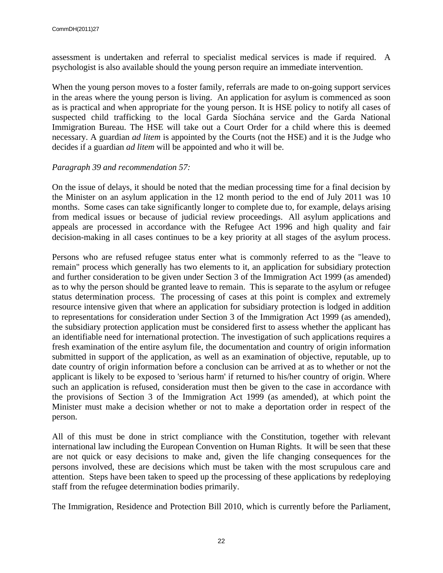assessment is undertaken and referral to specialist medical services is made if required. A psychologist is also available should the young person require an immediate intervention.

When the young person moves to a foster family, referrals are made to on-going support services in the areas where the young person is living. An application for asylum is commenced as soon as is practical and when appropriate for the young person. It is HSE policy to notify all cases of suspected child trafficking to the local Garda Síochána service and the Garda National Immigration Bureau. The HSE will take out a Court Order for a child where this is deemed necessary. A guardian *ad litem* is appointed by the Courts (not the HSE) and it is the Judge who decides if a guardian *ad litem* will be appointed and who it will be.

### *Paragraph 39 and recommendation 57:*

On the issue of delays, it should be noted that the median processing time for a final decision by the Minister on an asylum application in the 12 month period to the end of July 2011 was 10 months. Some cases can take significantly longer to complete due to, for example, delays arising from medical issues or because of judicial review proceedings. All asylum applications and appeals are processed in accordance with the Refugee Act 1996 and high quality and fair decision-making in all cases continues to be a key priority at all stages of the asylum process.

Persons who are refused refugee status enter what is commonly referred to as the "leave to remain" process which generally has two elements to it, an application for subsidiary protection and further consideration to be given under Section 3 of the Immigration Act 1999 (as amended) as to why the person should be granted leave to remain. This is separate to the asylum or refugee status determination process. The processing of cases at this point is complex and extremely resource intensive given that where an application for subsidiary protection is lodged in addition to representations for consideration under Section 3 of the Immigration Act 1999 (as amended), the subsidiary protection application must be considered first to assess whether the applicant has an identifiable need for international protection. The investigation of such applications requires a fresh examination of the entire asylum file, the documentation and country of origin information submitted in support of the application, as well as an examination of objective, reputable, up to date country of origin information before a conclusion can be arrived at as to whether or not the applicant is likely to be exposed to 'serious harm' if returned to his/her country of origin. Where such an application is refused, consideration must then be given to the case in accordance with the provisions of Section 3 of the Immigration Act 1999 (as amended), at which point the Minister must make a decision whether or not to make a deportation order in respect of the person.

All of this must be done in strict compliance with the Constitution, together with relevant international law including the European Convention on Human Rights. It will be seen that these are not quick or easy decisions to make and, given the life changing consequences for the persons involved, these are decisions which must be taken with the most scrupulous care and attention. Steps have been taken to speed up the processing of these applications by redeploying staff from the refugee determination bodies primarily.

The Immigration, Residence and Protection Bill 2010, which is currently before the Parliament,